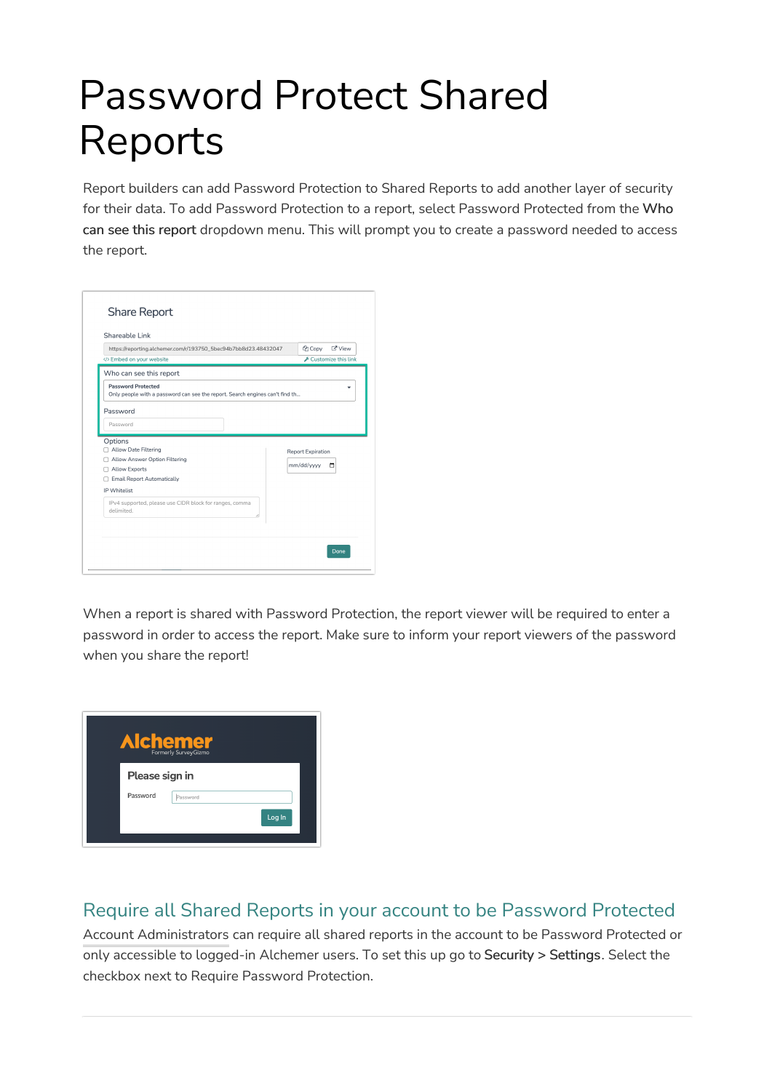## Password Protect Shared Reports

Report builders can add Password Protection to Shared Reports to add another layer of security for their data. To add Password Protection to a report, select Password Protected from the Who can see this report dropdown menu. This will prompt you to create a password needed to access the report.

| Shareable Link                                                                                            |  |                                                          |
|-----------------------------------------------------------------------------------------------------------|--|----------------------------------------------------------|
| https://reporting.alchemer.com/r/193750_5bec94b7bb8d23.48432047                                           |  | <b>Z'</b> View<br><b>C</b> h Copy<br>Customize this link |
| Embed on your website                                                                                     |  |                                                          |
| Who can see this report                                                                                   |  |                                                          |
| <b>Password Protected</b><br>Only people with a password can see the report. Search engines can't find th |  |                                                          |
| Password                                                                                                  |  |                                                          |
| Password                                                                                                  |  |                                                          |
| Options                                                                                                   |  |                                                          |
| Allow Date Filtering                                                                                      |  | <b>Report Expiration</b>                                 |
| Allow Answer Option Filtering<br>□ Allow Exports                                                          |  | mm/dd/yyyy<br>□                                          |
| Email Report Automatically                                                                                |  |                                                          |
| IP Whitelist                                                                                              |  |                                                          |
| IPv4 supported, please use CIDR block for ranges, comma<br>delimited.                                     |  |                                                          |
|                                                                                                           |  |                                                          |
|                                                                                                           |  |                                                          |

When a report is shared with Password Protection, the report viewer will be required to enter a password in order to access the report. Make sure to inform your report viewers of the password when you share the report!



## Require all Shared Reports in your account to be Password Protected

Account Administrators can require all shared reports in the account to be Password Protected or only accessible to logged-in Alchemer users. To set this up go to Security > Settings. Select the checkbox next to Require Password Protection.